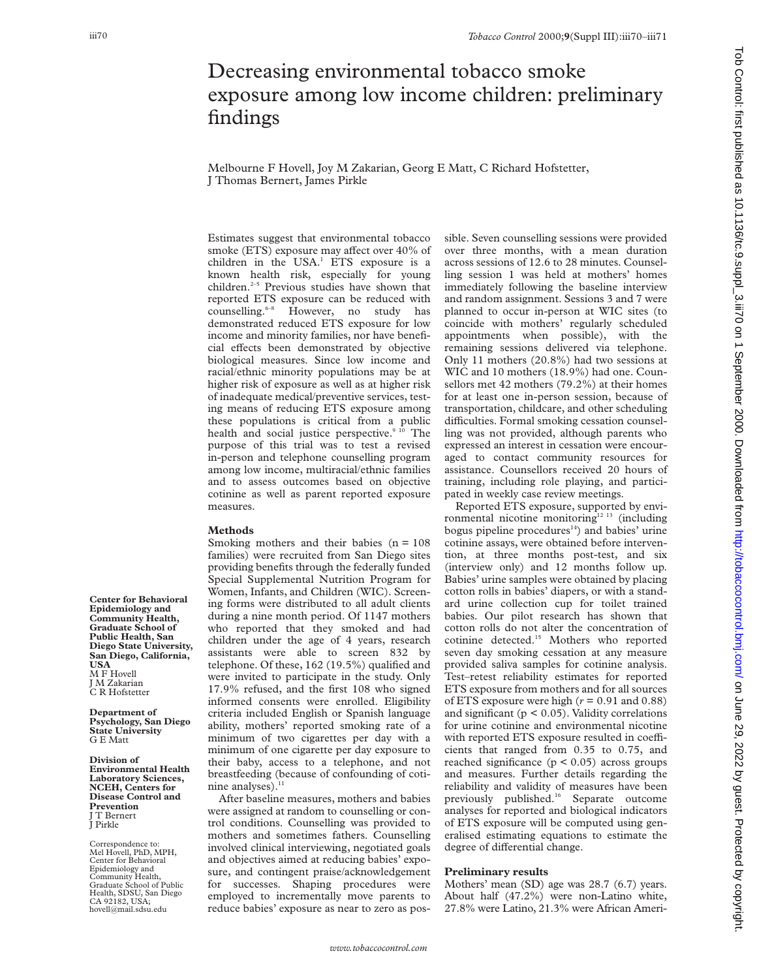## Decreasing environmental tobacco smoke exposure among low income children: preliminary findings

Melbourne F Hovell, Joy M Zakarian, Georg E Matt, C Richard Hofstetter, J Thomas Bernert, James Pirkle

Estimates suggest that environmental tobacco smoke (ETS) exposure may affect over 40% of children in the USA.<sup>1</sup> ETS exposure is a known health risk, especially for young children.<sup>2-5</sup> Previous studies have shown that reported ETS exposure can be reduced with counselling.<sup>6-8</sup> However, no study has demonstrated reduced ETS exposure for low income and minority families, nor have beneficial effects been demonstrated by objective biological measures. Since low income and racial/ethnic minority populations may be at higher risk of exposure as well as at higher risk of inadequate medical/preventive services, testing means of reducing ETS exposure among these populations is critical from a public health and social justice perspective. $9^{10}$  The purpose of this trial was to test a revised in-person and telephone counselling program among low income, multiracial/ethnic families and to assess outcomes based on objective cotinine as well as parent reported exposure measures.

## **Methods**

Smoking mothers and their babies  $(n = 108)$ families) were recruited from San Diego sites providing benefits through the federally funded Special Supplemental Nutrition Program for Women, Infants, and Children (WIC). Screening forms were distributed to all adult clients during a nine month period. Of 1147 mothers who reported that they smoked and had children under the age of 4 years, research assistants were able to screen 832 by telephone. Of these, 162 (19.5%) qualified and were invited to participate in the study. Only 17.9% refused, and the first 108 who signed informed consents were enrolled. Eligibility criteria included English or Spanish language ability, mothers' reported smoking rate of a minimum of two cigarettes per day with a minimum of one cigarette per day exposure to their baby, access to a telephone, and not breastfeeding (because of confounding of cotinine analyses). $<sup>11</sup>$ </sup>

After baseline measures, mothers and babies were assigned at random to counselling or control conditions. Counselling was provided to mothers and sometimes fathers. Counselling involved clinical interviewing, negotiated goals and objectives aimed at reducing babies' exposure, and contingent praise/acknowledgement for successes. Shaping procedures were employed to incrementally move parents to reduce babies' exposure as near to zero as possible. Seven counselling sessions were provided over three months, with a mean duration across sessions of 12.6 to 28 minutes. Counselling session 1 was held at mothers' homes immediately following the baseline interview and random assignment. Sessions 3 and 7 were planned to occur in-person at WIC sites (to coincide with mothers' regularly scheduled appointments when possible), with the remaining sessions delivered via telephone. Only 11 mothers (20.8%) had two sessions at WIC and 10 mothers (18.9%) had one. Counsellors met 42 mothers (79.2%) at their homes for at least one in-person session, because of transportation, childcare, and other scheduling difficulties. Formal smoking cessation counselling was not provided, although parents who expressed an interest in cessation were encouraged to contact community resources for assistance. Counsellors received 20 hours of training, including role playing, and participated in weekly case review meetings.

Reported ETS exposure, supported by environmental nicotine monitoring<sup>12 13</sup> (including bogus pipeline procedures $14$ ) and babies' urine cotinine assays, were obtained before intervention, at three months post-test, and six (interview only) and 12 months follow up. Babies' urine samples were obtained by placing cotton rolls in babies' diapers, or with a standard urine collection cup for toilet trained babies. Our pilot research has shown that cotton rolls do not alter the concentration of cotinine detected.15 Mothers who reported seven day smoking cessation at any measure provided saliva samples for cotinine analysis. Test–retest reliability estimates for reported ETS exposure from mothers and for all sources of ETS exposure were high  $(r = 0.91$  and  $0.88)$ and significant ( $p < 0.05$ ). Validity correlations for urine cotinine and environmental nicotine with reported ETS exposure resulted in coefficients that ranged from 0.35 to 0.75, and reached significance  $(p < 0.05)$  across groups and measures. Further details regarding the reliability and validity of measures have been previously published.16 Separate outcome analyses for reported and biological indicators of ETS exposure will be computed using generalised estimating equations to estimate the degree of differential change.

## **Preliminary results**

Mothers' mean (SD) age was 28.7 (6.7) years. About half (47.2%) were non-Latino white, 27.8% were Latino, 21.3% were African Ameri-

Tob Control: first published as 10.1136/tc.9. supplishing the 1260 to Download from 1.2000. Downloadd from 1.2000. Download from 1.2000. Download from 1.2000. Download from 1.2000. Download from 1.2000. Download from 1.200 Tob Control: first published as 10.1136/tc.9.suppl\_3.iii70 on 1 September 2000. Downloaded from http://tobaccocontrol.bmj.com/ on June 29, 2022 by guest. Protected by copyright

**Center for Behavioral Epidemiology and Community Health, Graduate School of Public Health, San Diego State University, San Diego, California, USA** M F Hovell J M Zakarian

C R Hofstetter

**Department of Psychology, San Diego State University** G E Matt

**Division of Environmental Health Laboratory Sciences, NCEH, Centers for Disease Control and Prevention** J T Bernert J Pirkle

Correspondence to: Mel Hovell, PhD, MPH, Center for Behavioral Epidemiology and Community Health, Graduate School of Public Health, SDSU, San Diego CA 92182, USA; hovell@mail.sdsu.edu